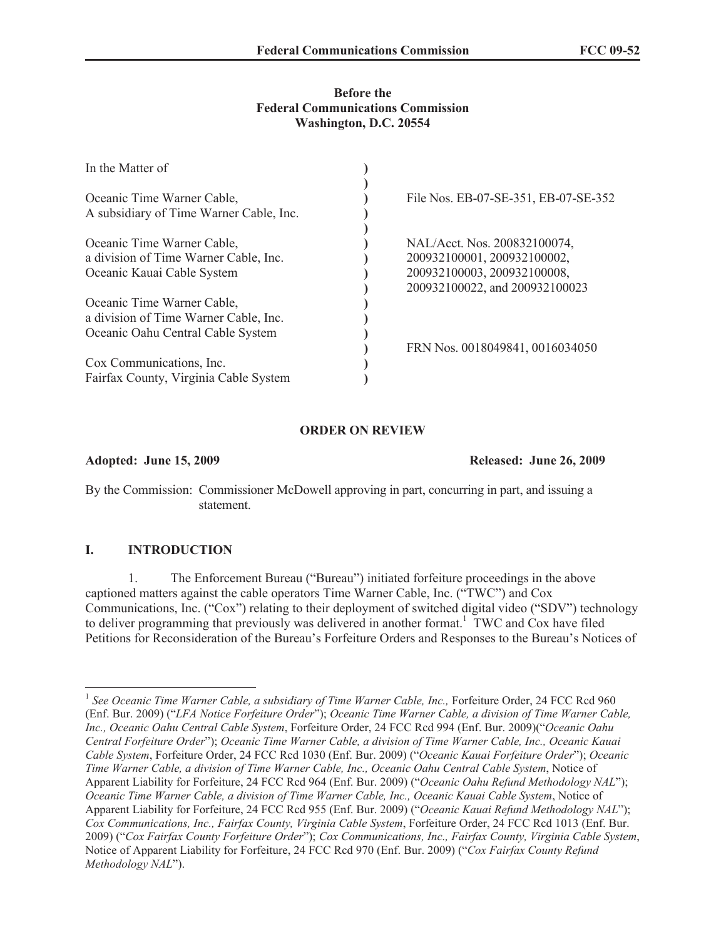#### **Before the Federal Communications Commission Washington, D.C. 20554**

| In the Matter of                                                                                                          |                                      |
|---------------------------------------------------------------------------------------------------------------------------|--------------------------------------|
|                                                                                                                           |                                      |
| Oceanic Time Warner Cable,                                                                                                | File Nos. EB-07-SE-351, EB-07-SE-352 |
| A subsidiary of Time Warner Cable, Inc.                                                                                   |                                      |
|                                                                                                                           |                                      |
|                                                                                                                           | NAL/Acct. Nos. 200832100074,         |
| a division of Time Warner Cable, Inc.                                                                                     | 200932100001, 200932100002,          |
|                                                                                                                           | 200932100003, 200932100008,          |
|                                                                                                                           | 200932100022, and 200932100023       |
| Oceanic Time Warner Cable,                                                                                                |                                      |
| a division of Time Warner Cable, Inc.                                                                                     |                                      |
| Oceanic Time Warner Cable,<br>Oceanic Kauai Cable System<br>Oceanic Oahu Central Cable System<br>Cox Communications, Inc. |                                      |
|                                                                                                                           | FRN Nos. 0018049841, 0016034050      |
|                                                                                                                           |                                      |
| Fairfax County, Virginia Cable System                                                                                     |                                      |

## **ORDER ON REVIEW**

**Adopted: June 15, 2009 Released: June 26, 2009**

By the Commission: Commissioner McDowell approving in part, concurring in part, and issuing a statement.

### **I. INTRODUCTION**

1. The Enforcement Bureau ("Bureau") initiated forfeiture proceedings in the above captioned matters against the cable operators Time Warner Cable, Inc. ("TWC") and Cox Communications, Inc. ("Cox") relating to their deployment of switched digital video ("SDV") technology to deliver programming that previously was delivered in another format.<sup>1</sup> TWC and Cox have filed Petitions for Reconsideration of the Bureau's Forfeiture Orders and Responses to the Bureau's Notices of

<sup>&</sup>lt;sup>1</sup> See Oceanic Time Warner Cable, a subsidiary of Time Warner Cable, Inc., Forfeiture Order, 24 FCC Rcd 960 (Enf. Bur. 2009) ("*LFA Notice Forfeiture Order*"); *Oceanic Time Warner Cable, a division of Time Warner Cable, Inc., Oceanic Oahu Central Cable System*, Forfeiture Order, 24 FCC Rcd 994 (Enf. Bur. 2009)("*Oceanic Oahu Central Forfeiture Order*"); *Oceanic Time Warner Cable, a division of Time Warner Cable, Inc., Oceanic Kauai Cable System*, Forfeiture Order, 24 FCC Rcd 1030 (Enf. Bur. 2009) ("*Oceanic Kauai Forfeiture Order*"); *Oceanic Time Warner Cable, a division of Time Warner Cable, Inc., Oceanic Oahu Central Cable System*, Notice of Apparent Liability for Forfeiture, 24 FCC Rcd 964 (Enf. Bur. 2009) ("*Oceanic Oahu Refund Methodology NAL*"); *Oceanic Time Warner Cable, a division of Time Warner Cable, Inc., Oceanic Kauai Cable System*, Notice of Apparent Liability for Forfeiture, 24 FCC Rcd 955 (Enf. Bur. 2009) ("*Oceanic Kauai Refund Methodology NAL*"); *Cox Communications, Inc., Fairfax County, Virginia Cable System*, Forfeiture Order, 24 FCC Rcd 1013 (Enf. Bur. 2009) ("*Cox Fairfax County Forfeiture Order*"); *Cox Communications, Inc., Fairfax County, Virginia Cable System*, Notice of Apparent Liability for Forfeiture, 24 FCC Rcd 970 (Enf. Bur. 2009) ("*Cox Fairfax County Refund Methodology NAL*").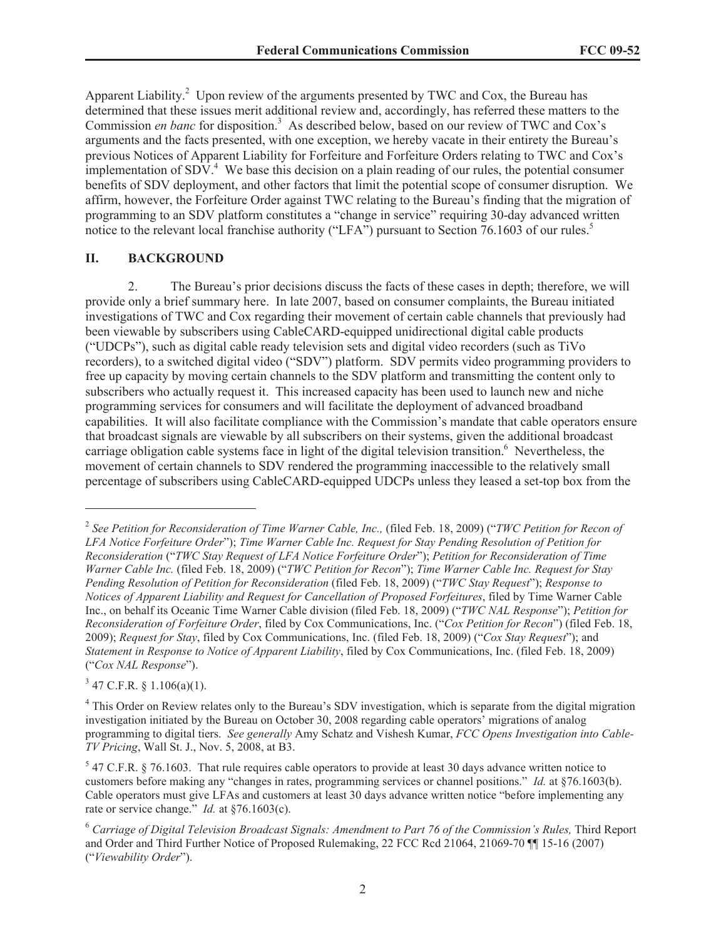Apparent Liability.<sup>2</sup> Upon review of the arguments presented by TWC and Cox, the Bureau has determined that these issues merit additional review and, accordingly, has referred these matters to the Commission *en banc* for disposition.<sup>3</sup> As described below, based on our review of TWC and Cox's arguments and the facts presented, with one exception, we hereby vacate in their entirety the Bureau's previous Notices of Apparent Liability for Forfeiture and Forfeiture Orders relating to TWC and Cox's implementation of  $SDV<sup>4</sup>$ . We base this decision on a plain reading of our rules, the potential consumer benefits of SDV deployment, and other factors that limit the potential scope of consumer disruption. We affirm, however, the Forfeiture Order against TWC relating to the Bureau's finding that the migration of programming to an SDV platform constitutes a "change in service" requiring 30-day advanced written notice to the relevant local franchise authority ("LFA") pursuant to Section 76.1603 of our rules.<sup>5</sup>

#### **II. BACKGROUND**

2. The Bureau's prior decisions discuss the facts of these cases in depth; therefore, we will provide only a brief summary here. In late 2007, based on consumer complaints, the Bureau initiated investigations of TWC and Cox regarding their movement of certain cable channels that previously had been viewable by subscribers using CableCARD-equipped unidirectional digital cable products ("UDCPs"), such as digital cable ready television sets and digital video recorders (such as TiVo recorders), to a switched digital video ("SDV") platform. SDV permits video programming providers to free up capacity by moving certain channels to the SDV platform and transmitting the content only to subscribers who actually request it. This increased capacity has been used to launch new and niche programming services for consumers and will facilitate the deployment of advanced broadband capabilities. It will also facilitate compliance with the Commission's mandate that cable operators ensure that broadcast signals are viewable by all subscribers on their systems, given the additional broadcast carriage obligation cable systems face in light of the digital television transition.<sup>6</sup> Nevertheless, the movement of certain channels to SDV rendered the programming inaccessible to the relatively small percentage of subscribers using CableCARD-equipped UDCPs unless they leased a set-top box from the

 $3$  47 C.F.R. § 1.106(a)(1).

<sup>&</sup>lt;sup>2</sup> See Petition for Reconsideration of Time Warner Cable, Inc., (filed Feb. 18, 2009) ("TWC Petition for Recon of *LFA Notice Forfeiture Order*"); *Time Warner Cable Inc. Request for Stay Pending Resolution of Petition for Reconsideration* ("*TWC Stay Request of LFA Notice Forfeiture Order*"); *Petition for Reconsideration of Time Warner Cable Inc.* (filed Feb. 18, 2009) ("*TWC Petition for Recon*"); *Time Warner Cable Inc. Request for Stay Pending Resolution of Petition for Reconsideration* (filed Feb. 18, 2009) ("*TWC Stay Request*"); *Response to Notices of Apparent Liability and Request for Cancellation of Proposed Forfeitures*, filed by Time Warner Cable Inc., on behalf its Oceanic Time Warner Cable division (filed Feb. 18, 2009) ("*TWC NAL Response*"); *Petition for Reconsideration of Forfeiture Order*, filed by Cox Communications, Inc. ("*Cox Petition for Recon*") (filed Feb. 18, 2009); *Request for Stay*, filed by Cox Communications, Inc. (filed Feb. 18, 2009) ("*Cox Stay Request*"); and *Statement in Response to Notice of Apparent Liability*, filed by Cox Communications, Inc. (filed Feb. 18, 2009) ("*Cox NAL Response*").

<sup>&</sup>lt;sup>4</sup> This Order on Review relates only to the Bureau's SDV investigation, which is separate from the digital migration investigation initiated by the Bureau on October 30, 2008 regarding cable operators' migrations of analog programming to digital tiers. *See generally* Amy Schatz and Vishesh Kumar, *FCC Opens Investigation into Cable-TV Pricing*, Wall St. J., Nov. 5, 2008, at B3.

 $<sup>5</sup>$  47 C.F.R. § 76.1603. That rule requires cable operators to provide at least 30 days advance written notice to</sup> customers before making any "changes in rates, programming services or channel positions." *Id.* at §76.1603(b). Cable operators must give LFAs and customers at least 30 days advance written notice "before implementing any rate or service change." *Id.* at §76.1603(c).

<sup>6</sup> *Carriage of Digital Television Broadcast Signals: Amendment to Part 76 of the Commission's Rules,* Third Report and Order and Third Further Notice of Proposed Rulemaking, 22 FCC Rcd 21064, 21069-70 ¶¶ 15-16 (2007) ("*Viewability Order*").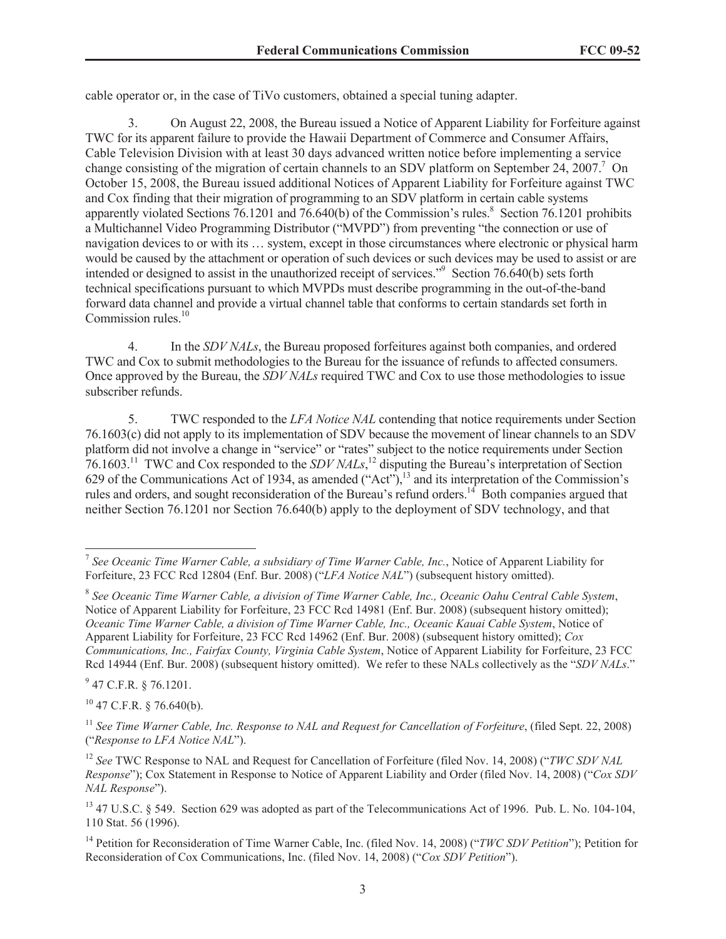cable operator or, in the case of TiVo customers, obtained a special tuning adapter.

3. On August 22, 2008, the Bureau issued a Notice of Apparent Liability for Forfeiture against TWC for its apparent failure to provide the Hawaii Department of Commerce and Consumer Affairs, Cable Television Division with at least 30 days advanced written notice before implementing a service change consisting of the migration of certain channels to an SDV platform on September 24, 2007.<sup>7</sup> On October 15, 2008, the Bureau issued additional Notices of Apparent Liability for Forfeiture against TWC and Cox finding that their migration of programming to an SDV platform in certain cable systems apparently violated Sections  $76.1201$  and  $76.640(b)$  of the Commission's rules.<sup>8</sup> Section  $76.1201$  prohibits a Multichannel Video Programming Distributor ("MVPD") from preventing "the connection or use of navigation devices to or with its … system, except in those circumstances where electronic or physical harm would be caused by the attachment or operation of such devices or such devices may be used to assist or are intended or designed to assist in the unauthorized receipt of services."<sup>9</sup> Section 76.640(b) sets forth technical specifications pursuant to which MVPDs must describe programming in the out-of-the-band forward data channel and provide a virtual channel table that conforms to certain standards set forth in Commission rules.<sup>10</sup>

4. In the *SDV NALs*, the Bureau proposed forfeitures against both companies, and ordered TWC and Cox to submit methodologies to the Bureau for the issuance of refunds to affected consumers. Once approved by the Bureau, the *SDV NALs* required TWC and Cox to use those methodologies to issue subscriber refunds.

5. TWC responded to the *LFA Notice NAL* contending that notice requirements under Section 76.1603(c) did not apply to its implementation of SDV because the movement of linear channels to an SDV platform did not involve a change in "service" or "rates" subject to the notice requirements under Section 76.1603.<sup>11</sup> TWC and Cox responded to the *SDV NALs*, <sup>12</sup> disputing the Bureau's interpretation of Section 629 of the Communications Act of 1934, as amended  $("Act")$ ,<sup>13</sup> and its interpretation of the Commission's rules and orders, and sought reconsideration of the Bureau's refund orders.<sup>14</sup> Both companies argued that neither Section 76.1201 nor Section 76.640(b) apply to the deployment of SDV technology, and that

 $9$  47 C.F.R. § 76.1201.

 $10$  47 C.F.R. § 76.640(b).

<sup>7</sup> *See Oceanic Time Warner Cable, a subsidiary of Time Warner Cable, Inc.*, Notice of Apparent Liability for Forfeiture, 23 FCC Rcd 12804 (Enf. Bur. 2008) ("*LFA Notice NAL*") (subsequent history omitted).

<sup>8</sup> *See Oceanic Time Warner Cable, a division of Time Warner Cable, Inc., Oceanic Oahu Central Cable System*, Notice of Apparent Liability for Forfeiture, 23 FCC Rcd 14981 (Enf. Bur. 2008) (subsequent history omitted); *Oceanic Time Warner Cable, a division of Time Warner Cable, Inc., Oceanic Kauai Cable System*, Notice of Apparent Liability for Forfeiture, 23 FCC Rcd 14962 (Enf. Bur. 2008) (subsequent history omitted); *Cox Communications, Inc., Fairfax County, Virginia Cable System*, Notice of Apparent Liability for Forfeiture, 23 FCC Rcd 14944 (Enf. Bur. 2008) (subsequent history omitted). We refer to these NALs collectively as the "*SDV NALs*."

<sup>&</sup>lt;sup>11</sup> See Time Warner Cable, Inc. Response to NAL and Request for Cancellation of Forfeiture, (filed Sept. 22, 2008) ("*Response to LFA Notice NAL*").

<sup>&</sup>lt;sup>12</sup> *See* TWC Response to NAL and Request for Cancellation of Forfeiture (filed Nov. 14, 2008) ("*TWC SDV NAL Response*"); Cox Statement in Response to Notice of Apparent Liability and Order (filed Nov. 14, 2008) ("*Cox SDV NAL Response*").

<sup>&</sup>lt;sup>13</sup> 47 U.S.C. § 549. Section 629 was adopted as part of the Telecommunications Act of 1996. Pub. L. No. 104-104, 110 Stat. 56 (1996).

<sup>14</sup> Petition for Reconsideration of Time Warner Cable, Inc. (filed Nov. 14, 2008) ("*TWC SDV Petition*"); Petition for Reconsideration of Cox Communications, Inc. (filed Nov. 14, 2008) ("*Cox SDV Petition*").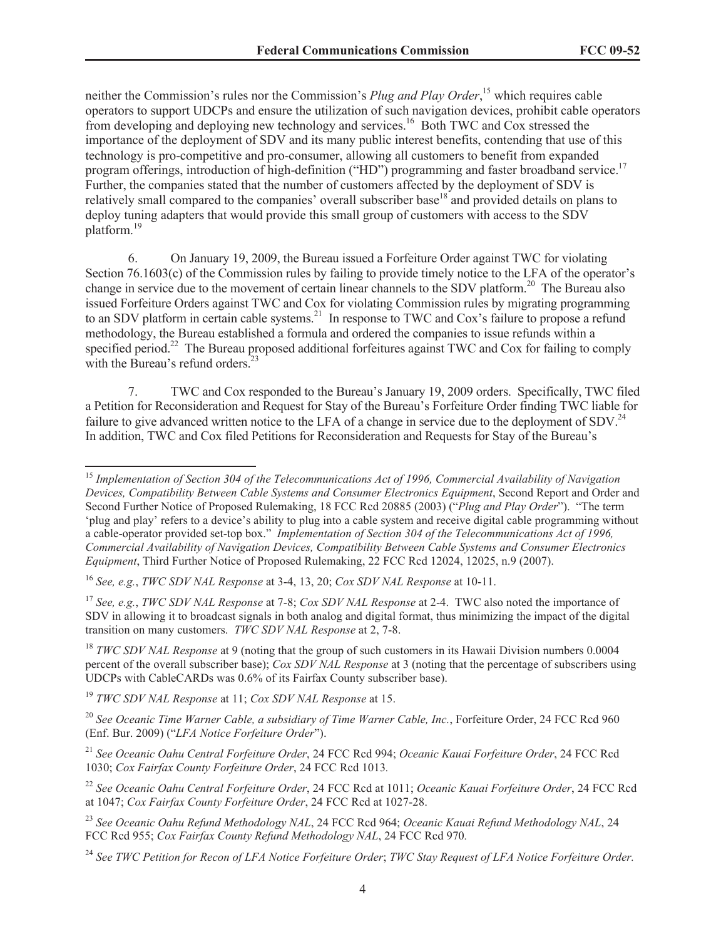neither the Commission's rules nor the Commission's *Plug and Play Order*, <sup>15</sup> which requires cable operators to support UDCPs and ensure the utilization of such navigation devices, prohibit cable operators from developing and deploying new technology and services.<sup>16</sup> Both TWC and Cox stressed the importance of the deployment of SDV and its many public interest benefits, contending that use of this technology is pro-competitive and pro-consumer, allowing all customers to benefit from expanded program offerings, introduction of high-definition ("HD") programming and faster broadband service.<sup>17</sup> Further, the companies stated that the number of customers affected by the deployment of SDV is relatively small compared to the companies' overall subscriber base<sup>18</sup> and provided details on plans to deploy tuning adapters that would provide this small group of customers with access to the SDV platform.<sup>19</sup>

6. On January 19, 2009, the Bureau issued a Forfeiture Order against TWC for violating Section 76.1603(c) of the Commission rules by failing to provide timely notice to the LFA of the operator's change in service due to the movement of certain linear channels to the SDV platform.<sup>20</sup> The Bureau also issued Forfeiture Orders against TWC and Cox for violating Commission rules by migrating programming to an SDV platform in certain cable systems.<sup>21</sup> In response to TWC and Cox's failure to propose a refund methodology, the Bureau established a formula and ordered the companies to issue refunds within a specified period.<sup>22</sup> The Bureau proposed additional forfeitures against TWC and Cox for failing to comply with the Bureau's refund orders. $23$ 

7. TWC and Cox responded to the Bureau's January 19, 2009 orders. Specifically, TWC filed a Petition for Reconsideration and Request for Stay of the Bureau's Forfeiture Order finding TWC liable for failure to give advanced written notice to the LFA of a change in service due to the deployment of SDV.<sup>24</sup> In addition, TWC and Cox filed Petitions for Reconsideration and Requests for Stay of the Bureau's

<sup>15</sup> *Implementation of Section 304 of the Telecommunications Act of 1996, Commercial Availability of Navigation Devices, Compatibility Between Cable Systems and Consumer Electronics Equipment*, Second Report and Order and Second Further Notice of Proposed Rulemaking, 18 FCC Rcd 20885 (2003) ("*Plug and Play Order*"). "The term 'plug and play' refers to a device's ability to plug into a cable system and receive digital cable programming without a cable-operator provided set-top box." *Implementation of Section 304 of the Telecommunications Act of 1996, Commercial Availability of Navigation Devices, Compatibility Between Cable Systems and Consumer Electronics Equipment*, Third Further Notice of Proposed Rulemaking, 22 FCC Rcd 12024, 12025, n.9 (2007).

<sup>16</sup> *See, e.g.*, *TWC SDV NAL Response* at 3-4, 13, 20; *Cox SDV NAL Response* at 10-11.

<sup>17</sup> *See, e.g.*, *TWC SDV NAL Response* at 7-8; *Cox SDV NAL Response* at 2-4. TWC also noted the importance of SDV in allowing it to broadcast signals in both analog and digital format, thus minimizing the impact of the digital transition on many customers. *TWC SDV NAL Response* at 2, 7-8.

<sup>&</sup>lt;sup>18</sup> *TWC SDV NAL Response* at 9 (noting that the group of such customers in its Hawaii Division numbers 0.0004 percent of the overall subscriber base); *Cox SDV NAL Response* at 3 (noting that the percentage of subscribers using UDCPs with CableCARDs was 0.6% of its Fairfax County subscriber base).

<sup>19</sup> *TWC SDV NAL Response* at 11; *Cox SDV NAL Response* at 15.

<sup>20</sup> *See Oceanic Time Warner Cable, a subsidiary of Time Warner Cable, Inc.*, Forfeiture Order, 24 FCC Rcd 960 (Enf. Bur. 2009) ("*LFA Notice Forfeiture Order*").

<sup>21</sup> *See Oceanic Oahu Central Forfeiture Order*, 24 FCC Rcd 994; *Oceanic Kauai Forfeiture Order*, 24 FCC Rcd 1030; *Cox Fairfax County Forfeiture Order*, 24 FCC Rcd 1013*.*

<sup>22</sup> *See Oceanic Oahu Central Forfeiture Order*, 24 FCC Rcd at 1011; *Oceanic Kauai Forfeiture Order*, 24 FCC Rcd at 1047; *Cox Fairfax County Forfeiture Order*, 24 FCC Rcd at 1027-28.

<sup>23</sup> *See Oceanic Oahu Refund Methodology NAL*, 24 FCC Rcd 964; *Oceanic Kauai Refund Methodology NAL*, 24 FCC Rcd 955; *Cox Fairfax County Refund Methodology NAL*, 24 FCC Rcd 970*.*

<sup>24</sup> *See TWC Petition for Recon of LFA Notice Forfeiture Order*; *TWC Stay Request of LFA Notice Forfeiture Order.*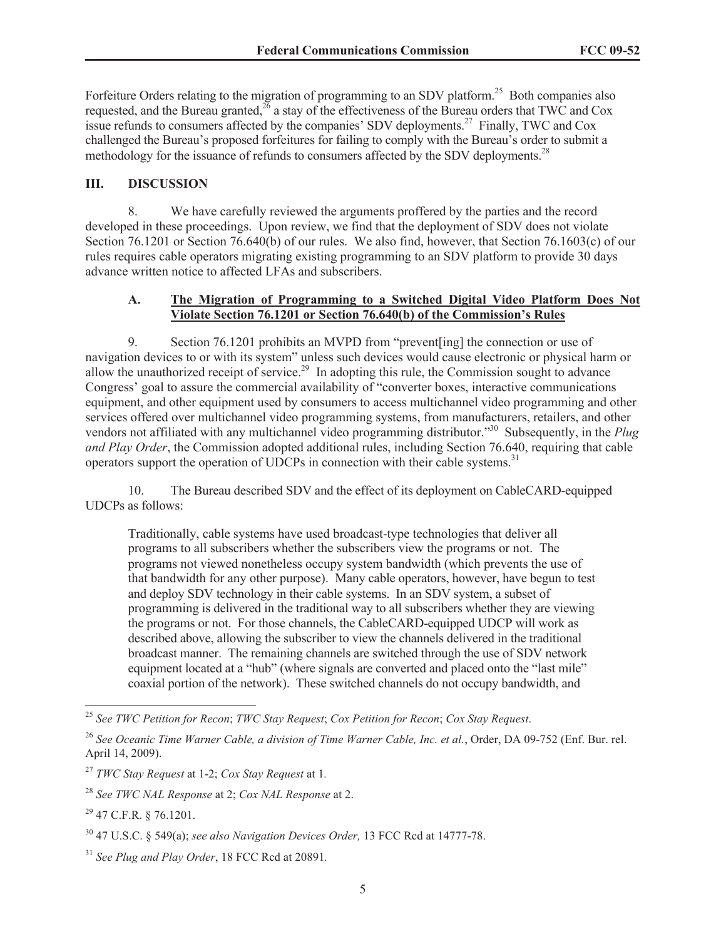Forfeiture Orders relating to the migration of programming to an SDV platform.<sup>25</sup> Both companies also requested, and the Bureau granted,<sup>26</sup> a stay of the effectiveness of the Bureau orders that TWC and Cox issue refunds to consumers affected by the companies' SDV deployments.<sup>27</sup> Finally, TWC and Cox challenged the Bureau's proposed forfeitures for failing to comply with the Bureau's order to submit a methodology for the issuance of refunds to consumers affected by the SDV deployments.<sup>28</sup>

### **III. DISCUSSION**

8. We have carefully reviewed the arguments proffered by the parties and the record developed in these proceedings. Upon review, we find that the deployment of SDV does not violate Section 76.1201 or Section 76.640(b) of our rules. We also find, however, that Section 76.1603(c) of our rules requires cable operators migrating existing programming to an SDV platform to provide 30 days advance written notice to affected LFAs and subscribers.

### **A. The Migration of Programming to a Switched Digital Video Platform Does Not Violate Section 76.1201 or Section 76.640(b) of the Commission's Rules**

9. Section 76.1201 prohibits an MVPD from "prevent[ing] the connection or use of navigation devices to or with its system" unless such devices would cause electronic or physical harm or allow the unauthorized receipt of service.<sup>29</sup> In adopting this rule, the Commission sought to advance Congress' goal to assure the commercial availability of "converter boxes, interactive communications equipment, and other equipment used by consumers to access multichannel video programming and other services offered over multichannel video programming systems, from manufacturers, retailers, and other vendors not affiliated with any multichannel video programming distributor."<sup>30</sup> Subsequently, in the *Plug and Play Order*, the Commission adopted additional rules, including Section 76.640, requiring that cable operators support the operation of UDCPs in connection with their cable systems.<sup>31</sup>

10. The Bureau described SDV and the effect of its deployment on CableCARD-equipped UDCPs as follows:

Traditionally, cable systems have used broadcast-type technologies that deliver all programs to all subscribers whether the subscribers view the programs or not. The programs not viewed nonetheless occupy system bandwidth (which prevents the use of that bandwidth for any other purpose). Many cable operators, however, have begun to test and deploy SDV technology in their cable systems. In an SDV system, a subset of programming is delivered in the traditional way to all subscribers whether they are viewing the programs or not. For those channels, the CableCARD-equipped UDCP will work as described above, allowing the subscriber to view the channels delivered in the traditional broadcast manner. The remaining channels are switched through the use of SDV network equipment located at a "hub" (where signals are converted and placed onto the "last mile" coaxial portion of the network). These switched channels do not occupy bandwidth, and

<sup>25</sup> *See TWC Petition for Recon*; *TWC Stay Request*; *Cox Petition for Recon*; *Cox Stay Request*.

<sup>26</sup> *See Oceanic Time Warner Cable, a division of Time Warner Cable, Inc. et al.*, Order, DA 09-752 (Enf. Bur. rel. April 14, 2009).

<sup>27</sup> *TWC Stay Request* at 1-2; *Cox Stay Request* at 1*.*

<sup>28</sup> *See TWC NAL Response* at 2; *Cox NAL Response* at 2.

<sup>29</sup> 47 C.F.R. § 76.1201.

<sup>30</sup> 47 U.S.C. § 549(a); *see also Navigation Devices Order,* 13 FCC Rcd at 14777-78.

<sup>31</sup> *See Plug and Play Order*, 18 FCC Rcd at 20891*.*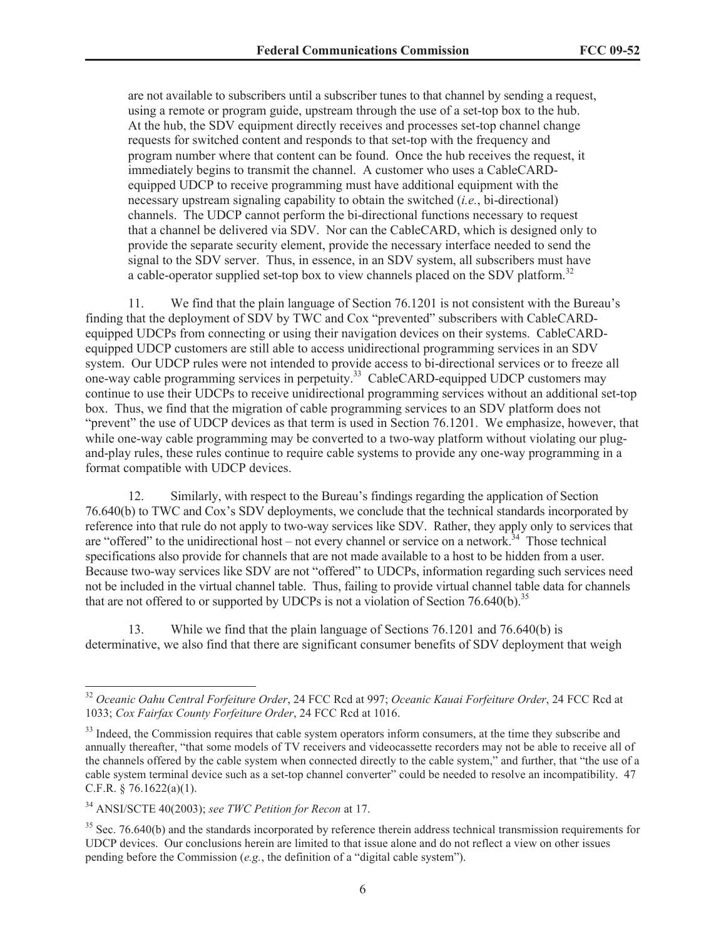are not available to subscribers until a subscriber tunes to that channel by sending a request, using a remote or program guide, upstream through the use of a set-top box to the hub. At the hub, the SDV equipment directly receives and processes set-top channel change requests for switched content and responds to that set-top with the frequency and program number where that content can be found. Once the hub receives the request, it immediately begins to transmit the channel. A customer who uses a CableCARDequipped UDCP to receive programming must have additional equipment with the necessary upstream signaling capability to obtain the switched (*i.e.*, bi-directional) channels. The UDCP cannot perform the bi-directional functions necessary to request that a channel be delivered via SDV. Nor can the CableCARD, which is designed only to provide the separate security element, provide the necessary interface needed to send the signal to the SDV server. Thus, in essence, in an SDV system, all subscribers must have a cable-operator supplied set-top box to view channels placed on the SDV platform.<sup>32</sup>

11. We find that the plain language of Section 76.1201 is not consistent with the Bureau's finding that the deployment of SDV by TWC and Cox "prevented" subscribers with CableCARDequipped UDCPs from connecting or using their navigation devices on their systems. CableCARDequipped UDCP customers are still able to access unidirectional programming services in an SDV system. Our UDCP rules were not intended to provide access to bi-directional services or to freeze all one-way cable programming services in perpetuity.<sup>33</sup> CableCARD-equipped UDCP customers may continue to use their UDCPs to receive unidirectional programming services without an additional set-top box. Thus, we find that the migration of cable programming services to an SDV platform does not "prevent" the use of UDCP devices as that term is used in Section 76.1201. We emphasize, however, that while one-way cable programming may be converted to a two-way platform without violating our plugand-play rules, these rules continue to require cable systems to provide any one-way programming in a format compatible with UDCP devices.

12. Similarly, with respect to the Bureau's findings regarding the application of Section 76.640(b) to TWC and Cox's SDV deployments, we conclude that the technical standards incorporated by reference into that rule do not apply to two-way services like SDV. Rather, they apply only to services that are "offered" to the unidirectional host – not every channel or service on a network.<sup>34</sup> Those technical specifications also provide for channels that are not made available to a host to be hidden from a user. Because two-way services like SDV are not "offered" to UDCPs, information regarding such services need not be included in the virtual channel table. Thus, failing to provide virtual channel table data for channels that are not offered to or supported by UDCPs is not a violation of Section  $76.640(b)$ .<sup>35</sup>

13. While we find that the plain language of Sections 76.1201 and 76.640(b) is determinative, we also find that there are significant consumer benefits of SDV deployment that weigh

<sup>32</sup> *Oceanic Oahu Central Forfeiture Order*, 24 FCC Rcd at 997; *Oceanic Kauai Forfeiture Order*, 24 FCC Rcd at 1033; *Cox Fairfax County Forfeiture Order*, 24 FCC Rcd at 1016.

<sup>&</sup>lt;sup>33</sup> Indeed, the Commission requires that cable system operators inform consumers, at the time they subscribe and annually thereafter, "that some models of TV receivers and videocassette recorders may not be able to receive all of the channels offered by the cable system when connected directly to the cable system," and further, that "the use of a cable system terminal device such as a set-top channel converter" could be needed to resolve an incompatibility. 47 C.F.R. § 76.1622(a)(1).

<sup>34</sup> ANSI/SCTE 40(2003); *see TWC Petition for Recon* at 17.

 $35$  Sec. 76.640(b) and the standards incorporated by reference therein address technical transmission requirements for UDCP devices. Our conclusions herein are limited to that issue alone and do not reflect a view on other issues pending before the Commission (*e.g.*, the definition of a "digital cable system").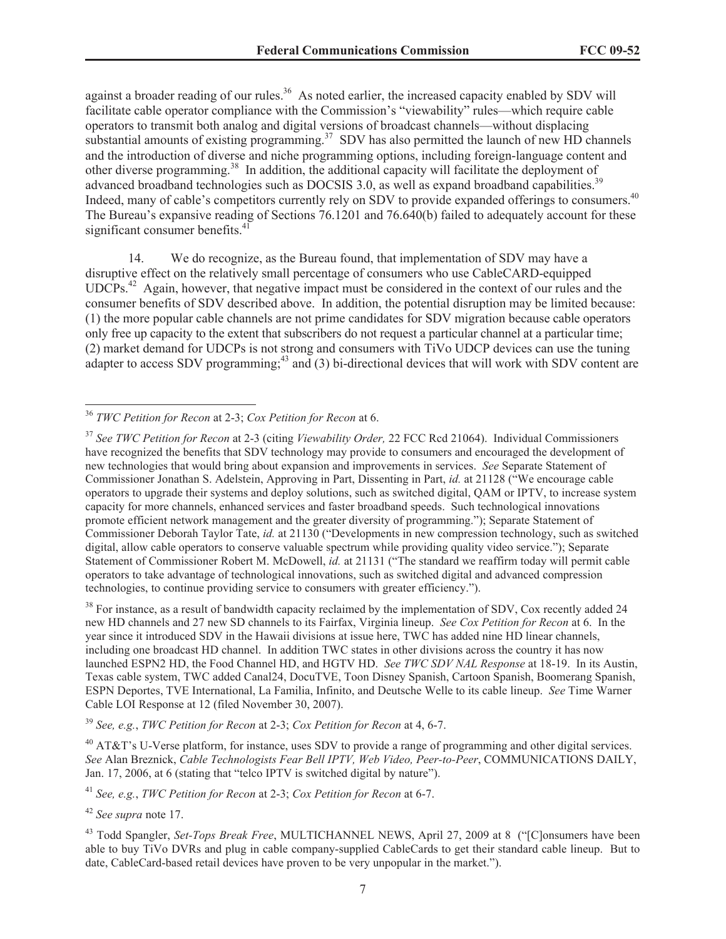against a broader reading of our rules.<sup>36</sup> As noted earlier, the increased capacity enabled by SDV will facilitate cable operator compliance with the Commission's "viewability" rules—which require cable operators to transmit both analog and digital versions of broadcast channels—without displacing substantial amounts of existing programming.<sup>37</sup> SDV has also permitted the launch of new HD channels and the introduction of diverse and niche programming options, including foreign-language content and other diverse programming.<sup>38</sup> In addition, the additional capacity will facilitate the deployment of advanced broadband technologies such as DOCSIS 3.0, as well as expand broadband capabilities.<sup>39</sup> Indeed, many of cable's competitors currently rely on SDV to provide expanded offerings to consumers.<sup>40</sup> The Bureau's expansive reading of Sections 76.1201 and 76.640(b) failed to adequately account for these significant consumer benefits.<sup>41</sup>

14. We do recognize, as the Bureau found, that implementation of SDV may have a disruptive effect on the relatively small percentage of consumers who use CableCARD-equipped UDCPs.<sup>42</sup> Again, however, that negative impact must be considered in the context of our rules and the consumer benefits of SDV described above. In addition, the potential disruption may be limited because: (1) the more popular cable channels are not prime candidates for SDV migration because cable operators only free up capacity to the extent that subscribers do not request a particular channel at a particular time; (2) market demand for UDCPs is not strong and consumers with TiVo UDCP devices can use the tuning adapter to access SDV programming;<sup>43</sup> and (3) bi-directional devices that will work with SDV content are

<sup>38</sup> For instance, as a result of bandwidth capacity reclaimed by the implementation of SDV, Cox recently added 24 new HD channels and 27 new SD channels to its Fairfax, Virginia lineup. *See Cox Petition for Recon* at 6. In the year since it introduced SDV in the Hawaii divisions at issue here, TWC has added nine HD linear channels, including one broadcast HD channel. In addition TWC states in other divisions across the country it has now launched ESPN2 HD, the Food Channel HD, and HGTV HD. *See TWC SDV NAL Response* at 18-19. In its Austin, Texas cable system, TWC added Canal24, DocuTVE, Toon Disney Spanish, Cartoon Spanish, Boomerang Spanish, ESPN Deportes, TVE International, La Familia, Infinito, and Deutsche Welle to its cable lineup. *See* Time Warner Cable LOI Response at 12 (filed November 30, 2007).

<sup>39</sup> *See, e.g.*, *TWC Petition for Recon* at 2-3; *Cox Petition for Recon* at 4, 6-7.

 $^{40}$  AT&T's U-Verse platform, for instance, uses SDV to provide a range of programming and other digital services. *See* Alan Breznick, *Cable Technologists Fear Bell IPTV, Web Video, Peer-to-Peer*, COMMUNICATIONS DAILY, Jan. 17, 2006, at 6 (stating that "telco IPTV is switched digital by nature").

<sup>41</sup> *See, e.g.*, *TWC Petition for Recon* at 2-3; *Cox Petition for Recon* at 6-7.

<sup>42</sup> *See supra* note 17.

<sup>43</sup> Todd Spangler, *Set-Tops Break Free*, MULTICHANNEL NEWS, April 27, 2009 at 8 ("[C]onsumers have been able to buy TiVo DVRs and plug in cable company-supplied CableCards to get their standard cable lineup. But to date, CableCard-based retail devices have proven to be very unpopular in the market.").

<sup>36</sup> *TWC Petition for Recon* at 2-3; *Cox Petition for Recon* at 6.

<sup>37</sup> *See TWC Petition for Recon* at 2-3 (citing *Viewability Order,* 22 FCC Rcd 21064). Individual Commissioners have recognized the benefits that SDV technology may provide to consumers and encouraged the development of new technologies that would bring about expansion and improvements in services. *See* Separate Statement of Commissioner Jonathan S. Adelstein, Approving in Part, Dissenting in Part, *id.* at 21128 ("We encourage cable operators to upgrade their systems and deploy solutions, such as switched digital, QAM or IPTV, to increase system capacity for more channels, enhanced services and faster broadband speeds. Such technological innovations promote efficient network management and the greater diversity of programming."); Separate Statement of Commissioner Deborah Taylor Tate, *id.* at 21130 ("Developments in new compression technology, such as switched digital, allow cable operators to conserve valuable spectrum while providing quality video service."); Separate Statement of Commissioner Robert M. McDowell, *id.* at 21131 ("The standard we reaffirm today will permit cable operators to take advantage of technological innovations, such as switched digital and advanced compression technologies, to continue providing service to consumers with greater efficiency.").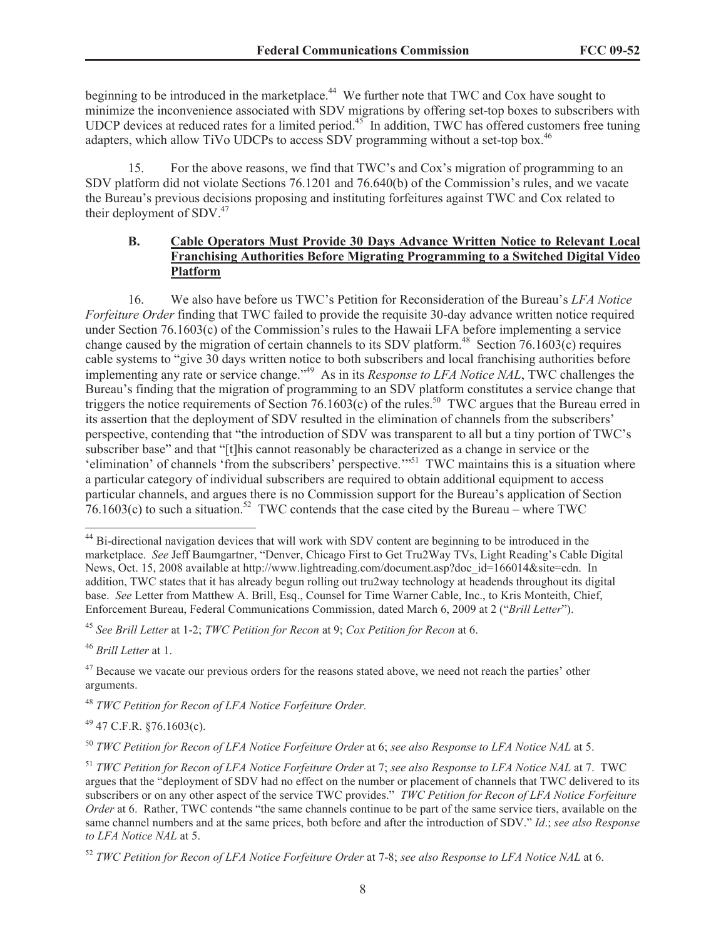beginning to be introduced in the marketplace.<sup>44</sup> We further note that TWC and Cox have sought to minimize the inconvenience associated with SDV migrations by offering set-top boxes to subscribers with UDCP devices at reduced rates for a limited period.<sup>45</sup> In addition, TWC has offered customers free tuning adapters, which allow TiVo UDCPs to access SDV programming without a set-top box.<sup>46</sup>

15. For the above reasons, we find that TWC's and Cox's migration of programming to an SDV platform did not violate Sections 76.1201 and 76.640(b) of the Commission's rules, and we vacate the Bureau's previous decisions proposing and instituting forfeitures against TWC and Cox related to their deployment of  $SDV<sub>1</sub><sup>47</sup>$ 

### **B. Cable Operators Must Provide 30 Days Advance Written Notice to Relevant Local Franchising Authorities Before Migrating Programming to a Switched Digital Video Platform**

16. We also have before us TWC's Petition for Reconsideration of the Bureau's *LFA Notice Forfeiture Order* finding that TWC failed to provide the requisite 30-day advance written notice required under Section 76.1603(c) of the Commission's rules to the Hawaii LFA before implementing a service change caused by the migration of certain channels to its SDV platform.<sup>48</sup> Section 76.1603(c) requires cable systems to "give 30 days written notice to both subscribers and local franchising authorities before implementing any rate or service change."<sup>49</sup> As in its *Response to LFA Notice NAL*, TWC challenges the Bureau's finding that the migration of programming to an SDV platform constitutes a service change that triggers the notice requirements of Section 76.1603(c) of the rules.<sup>50</sup> TWC argues that the Bureau erred in its assertion that the deployment of SDV resulted in the elimination of channels from the subscribers' perspective, contending that "the introduction of SDV was transparent to all but a tiny portion of TWC's subscriber base" and that "[t]his cannot reasonably be characterized as a change in service or the 'elimination' of channels 'from the subscribers' perspective.'"<sup>51</sup> TWC maintains this is a situation where a particular category of individual subscribers are required to obtain additional equipment to access particular channels, and argues there is no Commission support for the Bureau's application of Section  $76.1603(c)$  to such a situation.<sup>52</sup> TWC contends that the case cited by the Bureau – where TWC

<sup>45</sup> *See Brill Letter* at 1-2; *TWC Petition for Recon* at 9; *Cox Petition for Recon* at 6.

<sup>46</sup> *Brill Letter* at 1.

 $^{49}$  47 C.F.R.  $$76.1603(c)$ .

<sup>50</sup> *TWC Petition for Recon of LFA Notice Forfeiture Order* at 6; *see also Response to LFA Notice NAL* at 5.

<sup>&</sup>lt;sup>44</sup> Bi-directional navigation devices that will work with SDV content are beginning to be introduced in the marketplace. *See* Jeff Baumgartner, "Denver, Chicago First to Get Tru2Way TVs, Light Reading's Cable Digital News, Oct. 15, 2008 available at http://www.lightreading.com/document.asp?doc\_id=166014&site=cdn. In addition, TWC states that it has already begun rolling out tru2way technology at headends throughout its digital base. *See* Letter from Matthew A. Brill, Esq., Counsel for Time Warner Cable, Inc., to Kris Monteith, Chief, Enforcement Bureau, Federal Communications Commission, dated March 6, 2009 at 2 ("*Brill Letter*").

<sup>&</sup>lt;sup>47</sup> Because we vacate our previous orders for the reasons stated above, we need not reach the parties' other arguments.

<sup>48</sup> *TWC Petition for Recon of LFA Notice Forfeiture Order.*

<sup>51</sup> *TWC Petition for Recon of LFA Notice Forfeiture Order* at 7; *see also Response to LFA Notice NAL* at 7. TWC argues that the "deployment of SDV had no effect on the number or placement of channels that TWC delivered to its subscribers or on any other aspect of the service TWC provides." *TWC Petition for Recon of LFA Notice Forfeiture Order* at 6. Rather, TWC contends "the same channels continue to be part of the same service tiers, available on the same channel numbers and at the same prices, both before and after the introduction of SDV." *Id*.; *see also Response to LFA Notice NAL* at 5.

<sup>52</sup> *TWC Petition for Recon of LFA Notice Forfeiture Order* at 7-8; *see also Response to LFA Notice NAL* at 6.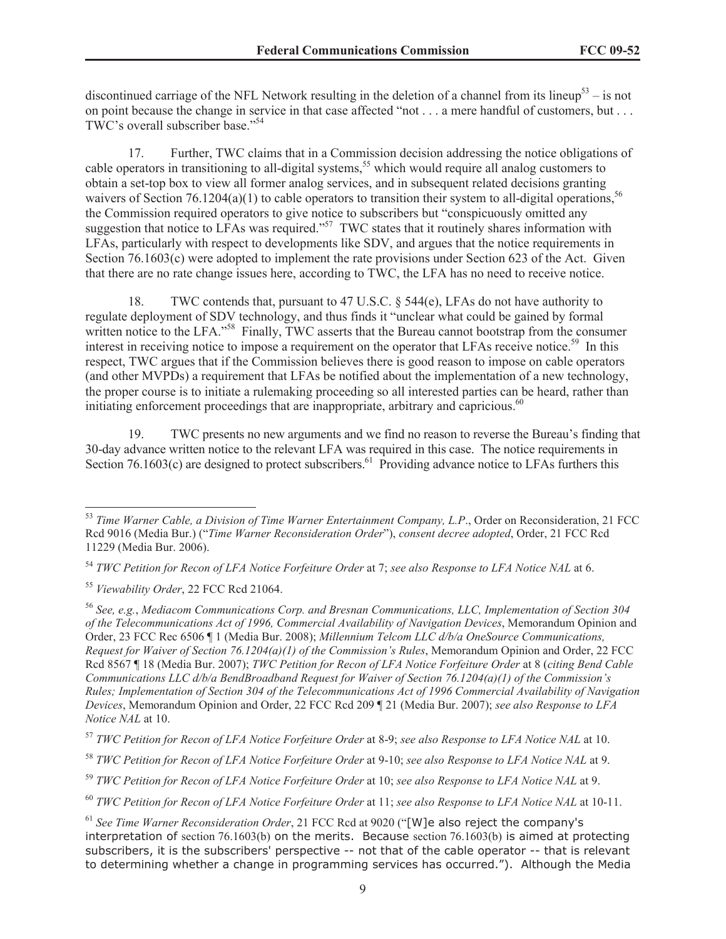discontinued carriage of the NFL Network resulting in the deletion of a channel from its lineup<sup>53</sup> – is not on point because the change in service in that case affected "not . . . a mere handful of customers, but . . . TWC's overall subscriber base."<sup>54</sup>

17. Further, TWC claims that in a Commission decision addressing the notice obligations of cable operators in transitioning to all-digital systems,<sup>55</sup> which would require all analog customers to obtain a set-top box to view all former analog services, and in subsequent related decisions granting waivers of Section 76.1204(a)(1) to cable operators to transition their system to all-digital operations,<sup>56</sup> the Commission required operators to give notice to subscribers but "conspicuously omitted any suggestion that notice to LFAs was required."<sup>57</sup> TWC states that it routinely shares information with LFAs, particularly with respect to developments like SDV, and argues that the notice requirements in Section 76.1603(c) were adopted to implement the rate provisions under Section 623 of the Act. Given that there are no rate change issues here, according to TWC, the LFA has no need to receive notice.

18. TWC contends that, pursuant to 47 U.S.C. § 544(e), LFAs do not have authority to regulate deployment of SDV technology, and thus finds it "unclear what could be gained by formal written notice to the LFA."<sup>58</sup> Finally, TWC asserts that the Bureau cannot bootstrap from the consumer interest in receiving notice to impose a requirement on the operator that LFAs receive notice.<sup>59</sup> In this respect, TWC argues that if the Commission believes there is good reason to impose on cable operators (and other MVPDs) a requirement that LFAs be notified about the implementation of a new technology, the proper course is to initiate a rulemaking proceeding so all interested parties can be heard, rather than initiating enforcement proceedings that are inappropriate, arbitrary and capricious. $60$ 

19. TWC presents no new arguments and we find no reason to reverse the Bureau's finding that 30-day advance written notice to the relevant LFA was required in this case. The notice requirements in Section 76.1603(c) are designed to protect subscribers.<sup>61</sup> Providing advance notice to LFAs furthers this

<sup>53</sup> *Time Warner Cable, a Division of Time Warner Entertainment Company, L.P*., Order on Reconsideration, 21 FCC Rcd 9016 (Media Bur.) ("*Time Warner Reconsideration Order*"), *consent decree adopted*, Order, 21 FCC Rcd 11229 (Media Bur. 2006).

<sup>54</sup> *TWC Petition for Recon of LFA Notice Forfeiture Order* at 7; *see also Response to LFA Notice NAL* at 6.

<sup>55</sup> *Viewability Order*, 22 FCC Rcd 21064.

<sup>56</sup> *See, e.g.*, *Mediacom Communications Corp. and Bresnan Communications, LLC, Implementation of Section 304 of the Telecommunications Act of 1996, Commercial Availability of Navigation Devices*, Memorandum Opinion and Order, 23 FCC Rec 6506 ¶ 1 (Media Bur. 2008); *Millennium Telcom LLC d/b/a OneSource Communications, Request for Waiver of Section 76.1204(a)(1) of the Commission's Rules*, Memorandum Opinion and Order, 22 FCC Rcd 8567 ¶ 18 (Media Bur. 2007); *TWC Petition for Recon of LFA Notice Forfeiture Order* at 8 (*citing Bend Cable Communications LLC d/b/a BendBroadband Request for Waiver of Section 76.1204(a)(1) of the Commission's Rules; Implementation of Section 304 of the Telecommunications Act of 1996 Commercial Availability of Navigation Devices*, Memorandum Opinion and Order, 22 FCC Rcd 209 ¶ 21 (Media Bur. 2007); *see also Response to LFA Notice NAL* at 10.

<sup>57</sup> *TWC Petition for Recon of LFA Notice Forfeiture Order* at 8-9; *see also Response to LFA Notice NAL* at 10.

<sup>58</sup> *TWC Petition for Recon of LFA Notice Forfeiture Order* at 9-10; *see also Response to LFA Notice NAL* at 9.

<sup>59</sup> *TWC Petition for Recon of LFA Notice Forfeiture Order* at 10; *see also Response to LFA Notice NAL* at 9.

<sup>60</sup> *TWC Petition for Recon of LFA Notice Forfeiture Order* at 11; *see also Response to LFA Notice NAL* at 10-11.

<sup>61</sup> *See Time Warner Reconsideration Order*, 21 FCC Rcd at 9020 ("[W]e also reject the company's interpretation of section 76.1603(b) on the merits. Because section 76.1603(b) is aimed at protecting subscribers, it is the subscribers' perspective -- not that of the cable operator -- that is relevant to determining whether a change in programming services has occurred."). Although the Media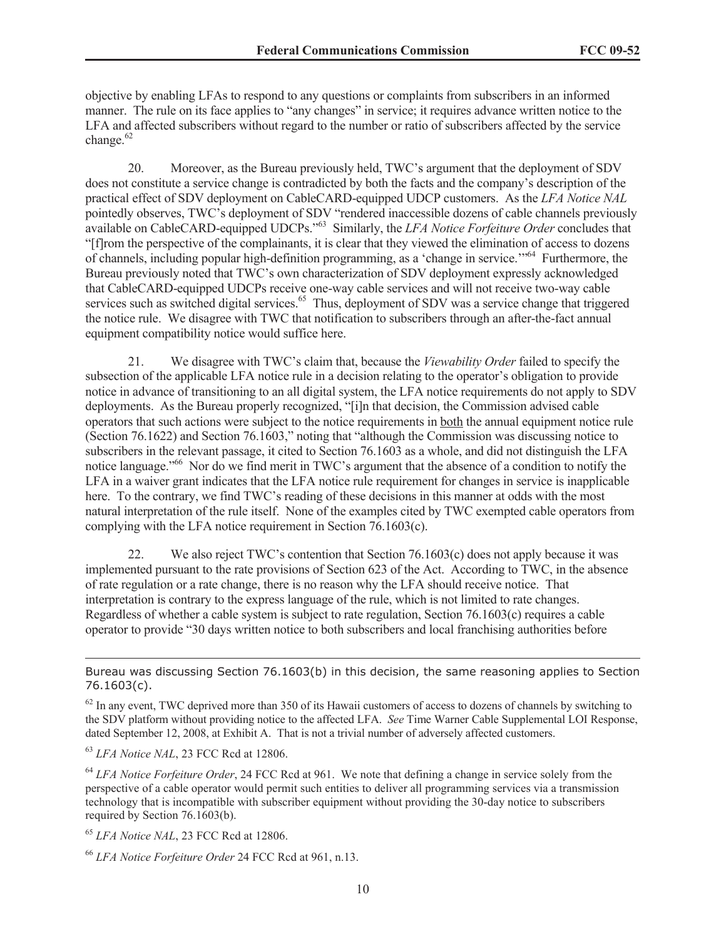objective by enabling LFAs to respond to any questions or complaints from subscribers in an informed manner. The rule on its face applies to "any changes" in service; it requires advance written notice to the LFA and affected subscribers without regard to the number or ratio of subscribers affected by the service change.<sup>62</sup>

20. Moreover, as the Bureau previously held, TWC's argument that the deployment of SDV does not constitute a service change is contradicted by both the facts and the company's description of the practical effect of SDV deployment on CableCARD-equipped UDCP customers. As the *LFA Notice NAL* pointedly observes, TWC's deployment of SDV "rendered inaccessible dozens of cable channels previously available on CableCARD-equipped UDCPs."<sup>63</sup> Similarly, the *LFA Notice Forfeiture Order* concludes that "[f]rom the perspective of the complainants, it is clear that they viewed the elimination of access to dozens of channels, including popular high-definition programming, as a 'change in service.'"<sup>64</sup> Furthermore, the Bureau previously noted that TWC's own characterization of SDV deployment expressly acknowledged that CableCARD-equipped UDCPs receive one-way cable services and will not receive two-way cable services such as switched digital services.<sup>65</sup> Thus, deployment of SDV was a service change that triggered the notice rule. We disagree with TWC that notification to subscribers through an after-the-fact annual equipment compatibility notice would suffice here.

21. We disagree with TWC's claim that, because the *Viewability Order* failed to specify the subsection of the applicable LFA notice rule in a decision relating to the operator's obligation to provide notice in advance of transitioning to an all digital system, the LFA notice requirements do not apply to SDV deployments. As the Bureau properly recognized, "[i]n that decision, the Commission advised cable operators that such actions were subject to the notice requirements in both the annual equipment notice rule (Section 76.1622) and Section 76.1603," noting that "although the Commission was discussing notice to subscribers in the relevant passage, it cited to Section 76.1603 as a whole, and did not distinguish the LFA notice language."<sup>66</sup> Nor do we find merit in TWC's argument that the absence of a condition to notify the LFA in a waiver grant indicates that the LFA notice rule requirement for changes in service is inapplicable here. To the contrary, we find TWC's reading of these decisions in this manner at odds with the most natural interpretation of the rule itself. None of the examples cited by TWC exempted cable operators from complying with the LFA notice requirement in Section 76.1603(c).

22. We also reject TWC's contention that Section  $76.1603(c)$  does not apply because it was implemented pursuant to the rate provisions of Section 623 of the Act. According to TWC, in the absence of rate regulation or a rate change, there is no reason why the LFA should receive notice. That interpretation is contrary to the express language of the rule, which is not limited to rate changes. Regardless of whether a cable system is subject to rate regulation, Section 76.1603(c) requires a cable operator to provide "30 days written notice to both subscribers and local franchising authorities before

<sup>63</sup> *LFA Notice NAL*, 23 FCC Rcd at 12806.

<sup>64</sup> *LFA Notice Forfeiture Order*, 24 FCC Rcd at 961. We note that defining a change in service solely from the perspective of a cable operator would permit such entities to deliver all programming services via a transmission technology that is incompatible with subscriber equipment without providing the 30-day notice to subscribers required by Section 76.1603(b).

<sup>65</sup> *LFA Notice NAL*, 23 FCC Rcd at 12806.

Bureau was discussing Section 76.1603(b) in this decision, the same reasoning applies to Section 76.1603(c).

 $62$  In any event, TWC deprived more than 350 of its Hawaii customers of access to dozens of channels by switching to the SDV platform without providing notice to the affected LFA. *See* Time Warner Cable Supplemental LOI Response, dated September 12, 2008, at Exhibit A. That is not a trivial number of adversely affected customers.

<sup>66</sup> *LFA Notice Forfeiture Order* 24 FCC Rcd at 961, n.13.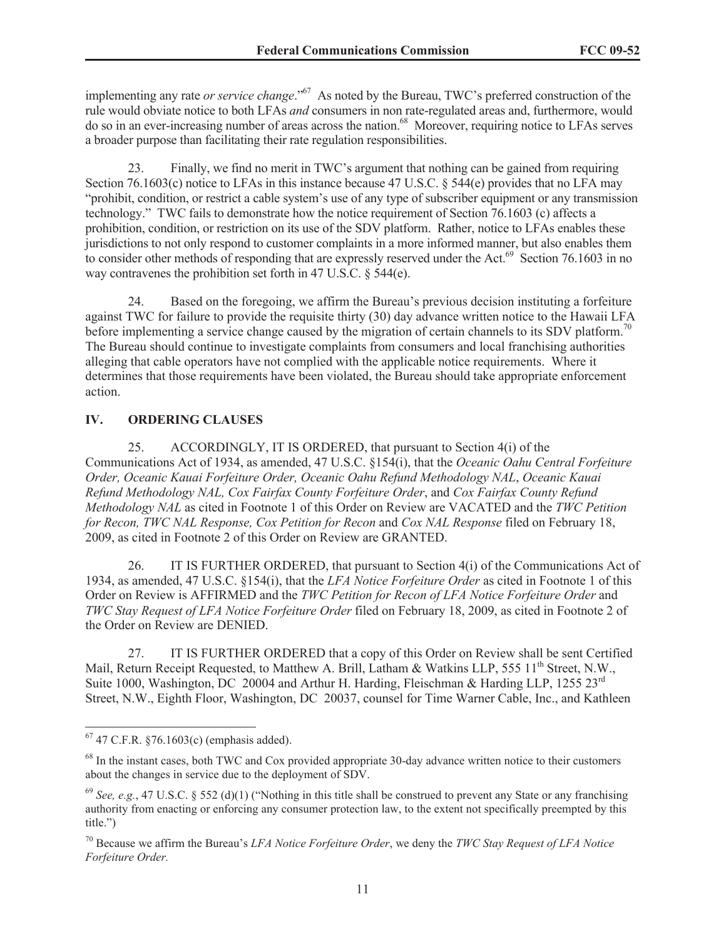implementing any rate *or service change*."<sup>67</sup> As noted by the Bureau, TWC's preferred construction of the rule would obviate notice to both LFAs *and* consumers in non rate-regulated areas and, furthermore, would do so in an ever-increasing number of areas across the nation.<sup>68</sup> Moreover, requiring notice to LFAs serves a broader purpose than facilitating their rate regulation responsibilities.

23. Finally, we find no merit in TWC's argument that nothing can be gained from requiring Section 76.1603(c) notice to LFAs in this instance because 47 U.S.C. § 544(e) provides that no LFA may "prohibit, condition, or restrict a cable system's use of any type of subscriber equipment or any transmission technology." TWC fails to demonstrate how the notice requirement of Section 76.1603 (c) affects a prohibition, condition, or restriction on its use of the SDV platform. Rather, notice to LFAs enables these jurisdictions to not only respond to customer complaints in a more informed manner, but also enables them to consider other methods of responding that are expressly reserved under the Act.<sup>69</sup> Section 76.1603 in no way contravenes the prohibition set forth in 47 U.S.C. § 544(e).

24. Based on the foregoing, we affirm the Bureau's previous decision instituting a forfeiture against TWC for failure to provide the requisite thirty (30) day advance written notice to the Hawaii LFA before implementing a service change caused by the migration of certain channels to its SDV platform.<sup>70</sup> The Bureau should continue to investigate complaints from consumers and local franchising authorities alleging that cable operators have not complied with the applicable notice requirements. Where it determines that those requirements have been violated, the Bureau should take appropriate enforcement action.

#### **IV. ORDERING CLAUSES**

25. ACCORDINGLY, IT IS ORDERED, that pursuant to Section 4(i) of the Communications Act of 1934, as amended, 47 U.S.C. §154(i), that the *Oceanic Oahu Central Forfeiture Order, Oceanic Kauai Forfeiture Order, Oceanic Oahu Refund Methodology NAL*, *Oceanic Kauai Refund Methodology NAL, Cox Fairfax County Forfeiture Order*, and *Cox Fairfax County Refund Methodology NAL* as cited in Footnote 1 of this Order on Review are VACATED and the *TWC Petition for Recon, TWC NAL Response, Cox Petition for Recon* and *Cox NAL Response* filed on February 18, 2009, as cited in Footnote 2 of this Order on Review are GRANTED.

26. IT IS FURTHER ORDERED, that pursuant to Section 4(i) of the Communications Act of 1934, as amended, 47 U.S.C. §154(i), that the *LFA Notice Forfeiture Order* as cited in Footnote 1 of this Order on Review is AFFIRMED and the *TWC Petition for Recon of LFA Notice Forfeiture Order* and *TWC Stay Request of LFA Notice Forfeiture Order* filed on February 18, 2009, as cited in Footnote 2 of the Order on Review are DENIED.

27. IT IS FURTHER ORDERED that a copy of this Order on Review shall be sent Certified Mail, Return Receipt Requested, to Matthew A. Brill, Latham & Watkins LLP, 555 11<sup>th</sup> Street, N.W., Suite 1000, Washington, DC 20004 and Arthur H. Harding, Fleischman & Harding LLP, 1255 23<sup>rd</sup> Street, N.W., Eighth Floor, Washington, DC 20037, counsel for Time Warner Cable, Inc., and Kathleen

<sup>67</sup> 47 C.F.R. §76.1603(c) (emphasis added).

<sup>&</sup>lt;sup>68</sup> In the instant cases, both TWC and Cox provided appropriate 30-day advance written notice to their customers about the changes in service due to the deployment of SDV.

 $^{69}$  *See, e.g.*, 47 U.S.C. § 552 (d)(1) ("Nothing in this title shall be construed to prevent any State or any franchising authority from enacting or enforcing any consumer protection law, to the extent not specifically preempted by this title.")

<sup>70</sup> Because we affirm the Bureau's *LFA Notice Forfeiture Order*, we deny the *TWC Stay Request of LFA Notice Forfeiture Order.*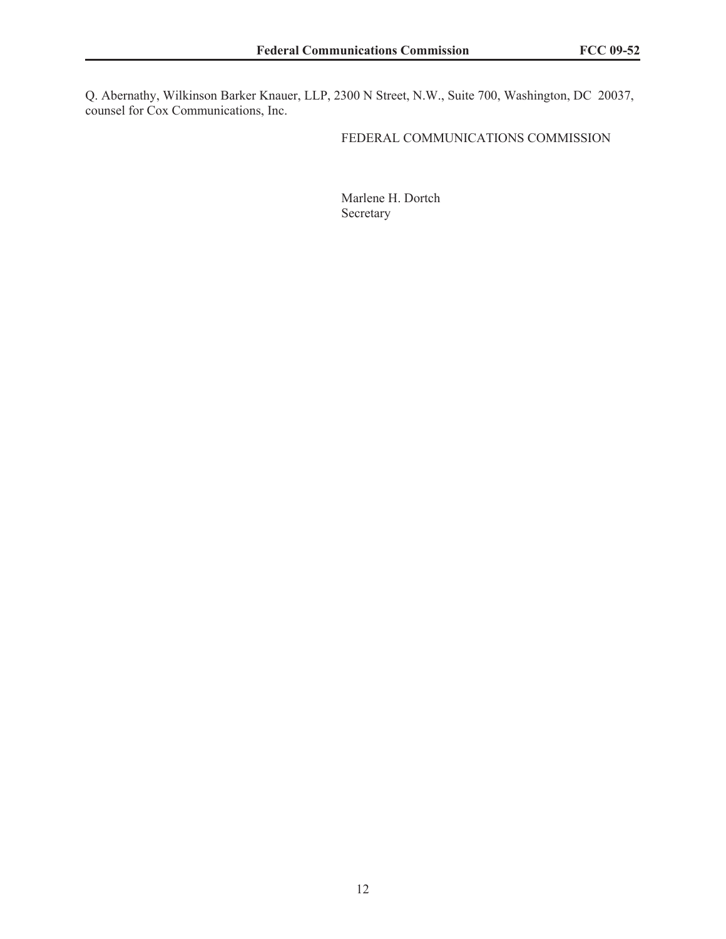Q. Abernathy, Wilkinson Barker Knauer, LLP, 2300 N Street, N.W., Suite 700, Washington, DC 20037, counsel for Cox Communications, Inc.

### FEDERAL COMMUNICATIONS COMMISSION

Marlene H. Dortch Secretary